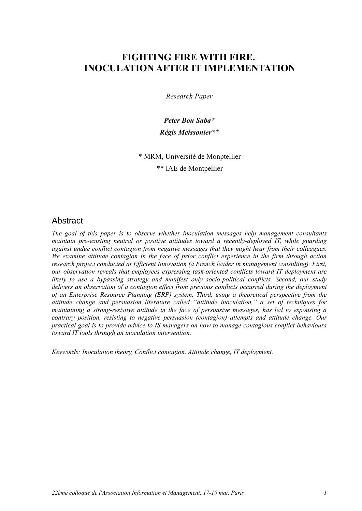# **FIGHTING FIRE WITH FIRE. INOCULATION AFTER IT IMPLEMENTATION**

*Research Paper*

*Peter Bou Saba\* Régis Meissonier\*\**

\* MRM, Université de Monptellier \*\* IAE de Montpellier

### Abstract

*The goal of this paper is to observe whether inoculation messages help management consultants maintain pre-existing neutral or positive attitudes toward a recently-deployed IT, while guarding against undue conflict contagion from negative messages that they might hear from their colleagues. We examine attitude contagion in the face of prior conflict experience in the firm through action research project conducted at Efficient Innovation (a French leader in management consulting). First, our observation reveals that employees expressing task-oriented conflicts toward IT deployment are likely to use a bypassing strategy and manifest only socio-political conflicts. Second, our study delivers an observation of a contagion effect from previous conflicts occurred during the deployment of an Enterprise Resource Planning (ERP) system. Third, using a theoretical perspective from the attitude change and persuasion literature called "attitude inoculation," a set of techniques for maintaining a strong-resistive attitude in the face of persuasive messages, has led to espousing a contrary position, resisting to negative persuasion (contagion) attempts and attitude change. Our practical goal is to provide advice to IS managers on how to manage contagious conflict behaviours toward IT tools through an inoculation intervention.*

*Keywords: Inoculation theory, Conflict contagion, Attitude change, IT deployment.*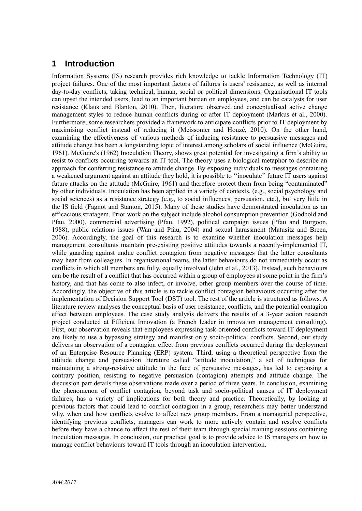## **1 Introduction**

Information Systems (IS) research provides rich knowledge to tackle Information Technology (IT) project failures. One of the most important factors of failures is users' resistance, as well as internal day-to-day conflicts, taking technical, human, social or political dimensions. Organisational IT tools can upset the intended users, lead to an important burden on employees, and can be catalysts for user resistance (Klaus and Blanton, 2010). Then, literature observed and conceptualised active change management styles to reduce human conflicts during or after IT deployment (Markus et al., 2000). Furthermore, some researchers provided a framework to anticipate conflicts prior to IT deployment by maximising conflict instead of reducing it (Meissonier and Houzé, 2010). On the other hand, examining the effectiveness of various methods of inducing resistance to persuasive messages and attitude change has been a longstanding topic of interest among scholars of social influence (McGuire, 1961). McGuire's (1962) Inoculation Theory, shows great potential for investigating a firm's ability to resist to conflicts occurring towards an IT tool. The theory uses a biological metaphor to describe an approach for conferring resistance to attitude change. By exposing individuals to messages containing a weakened argument against an attitude they hold, it is possible to ''inoculate'' future IT users against future attacks on the attitude (McGuire, 1961) and therefore protect them from being "contaminated" by other individuals. Inoculation has been applied in a variety of contexts, (e.g., social psychology and social sciences) as a resistance strategy (e.g., to social influences, persuasion, etc.), but very little in the IS field (Fagnot and Stanton, 2015). Many of these studies have demonstrated inoculation as an efficacious stratagem. Prior work on the subject include alcohol consumption prevention (Godbold and Pfau, 2000), commercial advertising (Pfau, 1992), political campaign issues (Pfau and Burgoon, 1988), public relations issues (Wan and Pfau, 2004) and sexual harassment (Matusitz and Breen, 2006). Accordingly, the goal of this research is to examine whether inoculation messages help management consultants maintain pre-existing positive attitudes towards a recently-implemented IT, while guarding against undue conflict contagion from negative messages that the latter consultants may hear from colleagues. In organisational teams, the latter behaviours do not immediately occur as conflicts in which all members are fully, equally involved (Jehn et al., 2013). Instead, such behaviours can be the result of a conflict that has occurred within a group of employees at some point in the firm's history, and that has come to also infect, or involve, other group members over the course of time. Accordingly, the objective of this article is to tackle conflict contagion behaviours occurring after the implementation of Decision Support Tool (DST) tool. The rest of the article is structured as follows. A literature review analyses the conceptual basis of user resistance, conflicts, and the potential contagion effect between employees. The case study analysis delivers the results of a 3-year action research project conducted at Efficient Innovation (a French leader in innovation management consulting). First, our observation reveals that employees expressing task-oriented conflicts toward IT deployment are likely to use a bypassing strategy and manifest only socio-political conflicts. Second, our study delivers an observation of a contagion effect from previous conflicts occurred during the deployment of an Enterprise Resource Planning (ERP) system. Third, using a theoretical perspective from the attitude change and persuasion literature called "attitude inoculation," a set of techniques for maintaining a strong-resistive attitude in the face of persuasive messages, has led to espousing a contrary position, resisting to negative persuasion (contagion) attempts and attitude change. The discussion part details these observations made over a period of three years. In conclusion, examining the phenomenon of conflict contagion, beyond task and socio-political causes of IT deployment failures, has a variety of implications for both theory and practice. Theoretically, by looking at previous factors that could lead to conflict contagion in a group, researchers may better understand why, when and how conflicts evolve to affect new group members. From a managerial perspective, identifying previous conflicts, managers can work to more actively contain and resolve conflicts before they have a chance to affect the rest of their team through special training sessions containing Inoculation messages. In conclusion, our practical goal is to provide advice to IS managers on how to manage conflict behaviours toward IT tools through an inoculation intervention.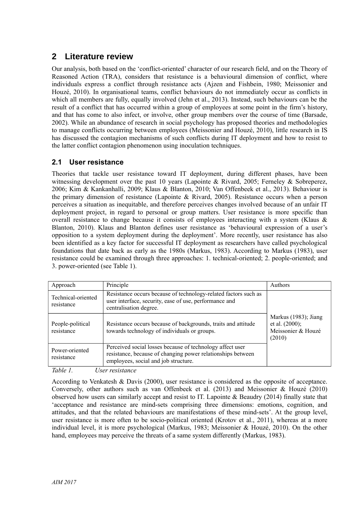## **2 Literature review**

Our analysis, both based on the 'conflict-oriented' character of our research field, and on the Theory of Reasoned Action (TRA), considers that resistance is a behavioural dimension of conflict, where individuals express a conflict through resistance acts (Ajzen and Fishbein, 1980; Meissonier and Houzé, 2010). In organisational teams, conflict behaviours do not immediately occur as conflicts in which all members are fully, equally involved (Jehn et al., 2013). Instead, such behaviours can be the result of a conflict that has occurred within a group of employees at some point in the firm's history, and that has come to also infect, or involve, other group members over the course of time (Barsade, 2002). While an abundance of research in social psychology has proposed theories and methodologies to manage conflicts occurring between employees (Meissonier and Houzé, 2010), little research in IS has discussed the contagion mechanisms of such conflicts during IT deployment and how to resist to the latter conflict contagion phenomenon using inoculation techniques.

### **2.1 User resistance**

Theories that tackle user resistance toward IT deployment, during different phases, have been witnessing development over the past 10 years (Lapointe & Rivard, 2005; Ferneley & Sobreperez, 2006; Kim & Kankanhalli, 2009; Klaus & Blanton, 2010; Van Offenbeek et al., 2013). Behaviour is the primary dimension of resistance (Lapointe & Rivard, 2005). Resistance occurs when a person perceives a situation as inequitable, and therefore perceives changes involved because of an unfair IT deployment project, in regard to personal or group matters. User resistance is more specific than overall resistance to change because it consists of employees interacting with a system (Klaus & Blanton, 2010). Klaus and Blanton defines user resistance as 'behavioural expression of a user's opposition to a system deployment during the deployment'. More recently, user resistance has also been identified as a key factor for successful IT deployment as researchers have called psychological foundations that date back as early as the 1980s (Markus, 1983). According to Markus (1983), user resistance could be examined through three approaches: 1. technical-oriented; 2. people-oriented; and 3. power-oriented (see Table 1).

| Approach                         | Principle                                                                                                                                                                                  | Authors |
|----------------------------------|--------------------------------------------------------------------------------------------------------------------------------------------------------------------------------------------|---------|
| Technical-oriented<br>resistance | Resistance occurs because of technology-related factors such as<br>user interface, security, ease of use, performance and<br>centralisation degree.                                        |         |
| People-political<br>resistance   | Markus (1983); Jiang<br>et al. $(2000)$ ;<br>Resistance occurs because of backgrounds, traits and attitude<br>Meissonier & Houzé<br>towards technology of individuals or groups.<br>(2010) |         |
| Power-oriented<br>resistance     | Perceived social losses because of technology affect user<br>resistance, because of changing power relationships between<br>employees, social and job structure.                           |         |

*Table 1. User resistance*

According to Venkatesh & Davis (2000), user resistance is considered as the opposite of acceptance. Conversely, other authors such as van Offenbeek et al. (2013) and Meissonier & Houzé (2010) observed how users can similarly accept and resist to IT. Lapointe & Beaudry (2014) finally state that 'acceptance and resistance are mind-sets comprising three dimensions: emotions, cognition, and attitudes, and that the related behaviours are manifestations of these mind-sets'. At the group level, user resistance is more often to be socio-political oriented (Krotov et al., 2011), whereas at a more individual level, it is more psychological (Markus, 1983; Meissonier & Houzé, 2010). On the other hand, employees may perceive the threats of a same system differently (Markus, 1983).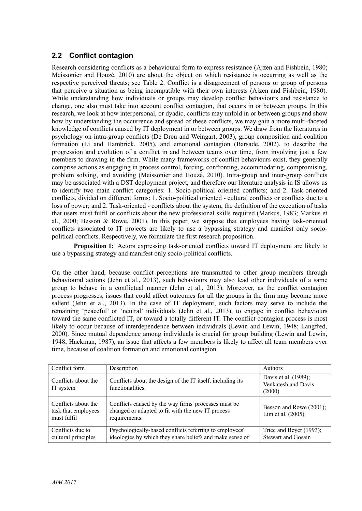### **2.2 Conflict contagion**

Research considering conflicts as a behavioural form to express resistance (Ajzen and Fishbein, 1980; Meissonier and Houzé, 2010) are about the object on which resistance is occurring as well as the respective perceived threats; see Table 2. Conflict is a disagreement of persons or group of persons that perceive a situation as being incompatible with their own interests (Ajzen and Fishbein, 1980). While understanding how individuals or groups may develop conflict behaviours and resistance to change, one also must take into account conflict contagion, that occurs in or between groups. In this research, we look at how interpersonal, or dyadic, conflicts may unfold in or between groups and show how by understanding the occurrence and spread of these conflicts, we may gain a more multi-faceted knowledge of conflicts caused by IT deployment in or between groups. We draw from the literatures in psychology on intra-group conflicts (De Dreu and Weingart, 2003), group composition and coalition formation (Li and Hambrick, 2005), and emotional contagion (Barsade, 2002), to describe the progression and evolution of a conflict in and between teams over time, from involving just a few members to drawing in the firm. While many frameworks of conflict behaviours exist, they generally comprise actions as engaging in process control, forcing, confronting, accommodating, compromising, problem solving, and avoiding (Meissonier and Houzé, 2010). Intra-group and inter-group conflicts may be associated with a DST deployment project, and therefore our literature analysis in IS allows us to identify two main conflict categories: 1. Socio-political oriented conflicts; and 2. Task-oriented conflicts, divided on different forms: 1. Socio-political oriented - cultural conflicts or conflicts due to a loss of power; and 2. Task-oriented - conflicts about the system, the definition of the execution of tasks that users must fulfil or conflicts about the new professional skills required (Markus, 1983; Markus et al., 2000; Besson & Rowe, 2001). In this paper, we suppose that employees having task-oriented conflicts associated to IT projects are likely to use a bypassing strategy and manifest only sociopolitical conflicts. Respectively, we formulate the first research proposition.

**Proposition 1:** Actors expressing task-oriented conflicts toward IT deployment are likely to use a bypassing strategy and manifest only socio-political conflicts.

On the other hand, because conflict perceptions are transmitted to other group members through behavioural actions (Jehn et al., 2013), such behaviours may also lead other individuals of a same group to behave in a conflictual manner (Jehn et al., 2013). Moreover, as the conflict contagion process progresses, issues that could affect outcomes for all the groups in the firm may become more salient (Jehn et al., 2013). In the case of IT deployment, such factors may serve to include the remaining 'peaceful' or 'neutral' individuals (Jehn et al., 2013), to engage in conflict behaviours toward the same conflicted IT, or toward a totally different IT. The conflict contagion process is most likely to occur because of interdependence between individuals (Lewin and Lewin, 1948; Langfred, 2000). Since mutual dependence among individuals is crucial for group building (Lewin and Lewin, 1948; Hackman, 1987), an issue that affects a few members is likely to affect all team members over time, because of coalition formation and emotional contagion.

| Conflict form                                             | Description                                                                                                                | <b>Authors</b>                                        |
|-----------------------------------------------------------|----------------------------------------------------------------------------------------------------------------------------|-------------------------------------------------------|
| Conflicts about the<br>IT system                          | Conflicts about the design of the IT itself, including its<br>functionalities.                                             | Davis et al. (1989);<br>Venkatesh and Davis<br>(2000) |
| Conflicts about the<br>task that employees<br>must fulfil | Conflicts caused by the way firms' processes must be<br>changed or adapted to fit with the new IT process<br>requirements. | Besson and Rowe (2001);<br>Lim et al. $(2005)$        |
| Conflicts due to<br>cultural principles                   | Psychologically-based conflicts referring to employees'<br>ideologies by which they share beliefs and make sense of        | Trice and Beyer (1993);<br><b>Stewart and Gosain</b>  |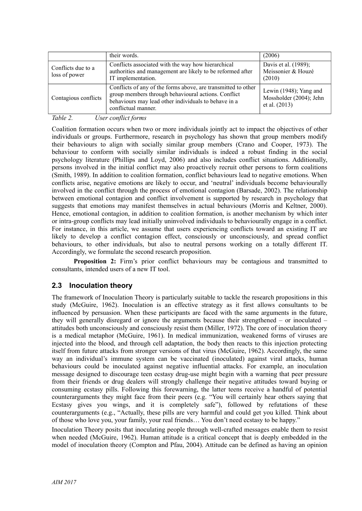|                                                                                                                                                                               | their words.                                                                                                                                                                                        | (2006)                                                             |
|-------------------------------------------------------------------------------------------------------------------------------------------------------------------------------|-----------------------------------------------------------------------------------------------------------------------------------------------------------------------------------------------------|--------------------------------------------------------------------|
| Conflicts associated with the way how hierarchical<br>Conflicts due to a<br>authorities and management are likely to be reformed after<br>loss of power<br>IT implementation. |                                                                                                                                                                                                     | Davis et al. (1989);<br>Meissonier & Houzé<br>(2010)               |
| Contagious conflicts                                                                                                                                                          | Conflicts of any of the forms above, are transmitted to other<br>group members through behavioural actions. Conflict<br>behaviours may lead other individuals to behave in a<br>conflictual manner. | Lewin (1948); Yang and<br>Mossholder (2004); Jehn<br>et al. (2013) |

*Table 2. User conflict forms*

Coalition formation occurs when two or more individuals jointly act to impact the objectives of other individuals or groups. Furthermore, research in psychology has shown that group members modify their behaviours to align with socially similar group members (Crano and Cooper, 1973). The behaviour to conform with socially similar individuals is indeed a robust finding in the social psychology literature (Phillips and Loyd, 2006) and also includes conflict situations. Additionally, persons involved in the initial conflict may also proactively recruit other persons to form coalitions (Smith, 1989). In addition to coalition formation, conflict behaviours lead to negative emotions. When conflicts arise, negative emotions are likely to occur, and 'neutral' individuals become behaviourally involved in the conflict through the process of emotional contagion (Barsade, 2002). The relationship between emotional contagion and conflict involvement is supported by research in psychology that suggests that emotions may manifest themselves in actual behaviours (Morris and Keltner, 2000). Hence, emotional contagion, in addition to coalition formation, is another mechanism by which inter or intra-group conflicts may lead initially uninvolved individuals to behaviourally engage in a conflict. For instance, in this article, we assume that users experiencing conflicts toward an existing IT are likely to develop a conflict contagion effect, consciously or unconsciously, and spread conflict behaviours, to other individuals, but also to neutral persons working on a totally different IT. Accordingly, we formulate the second research proposition.

**Proposition 2:** Firm's prior conflict behaviours may be contagious and transmitted to consultants, intended users of a new IT tool.

### **2.3 Inoculation theory**

The framework of Inoculation Theory is particularly suitable to tackle the research propositions in this study (McGuire, 1962). Inoculation is an effective strategy as it first allows consultants to be influenced by persuasion. When these participants are faced with the same arguments in the future, they will generally disregard or ignore the arguments because their strengthened – or inoculated – attitudes both unconsciously and consciously resist them (Miller, 1972). The core of inoculation theory is a medical metaphor (McGuire, 1961). In medical immunization, weakened forms of viruses are injected into the blood, and through cell adaptation, the body then reacts to this injection protecting itself from future attacks from stronger versions of that virus (McGuire, 1962). Accordingly, the same way an individual's immune system can be vaccinated (inoculated) against viral attacks, human behaviours could be inoculated against negative influential attacks. For example, an inoculation message designed to discourage teen ecstasy drug-use might begin with a warning that peer pressure from their friends or drug dealers will strongly challenge their negative attitudes toward buying or consuming ecstasy pills. Following this forewarning, the latter teens receive a handful of potential counterarguments they might face from their peers (e.g. "You will certainly hear others saying that Ecstasy gives you wings, and it is completely safe"), followed by refutations of these counterarguments (e.g., "Actually, these pills are very harmful and could get you killed. Think about of those who love you, your family, your real friends… You don't need ecstasy to be happy."

Inoculation Theory posits that inoculating people through well-crafted messages enable them to resist when needed (McGuire, 1962). Human attitude is a critical concept that is deeply embedded in the model of inoculation theory (Compton and Pfau, 2004). Attitude can be defined as having an opinion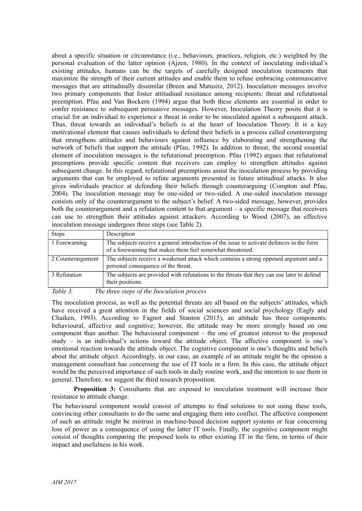about a specific situation or circumstance (i.e., behaviours, practices, religion, etc.) weighted by the personal evaluation of the latter opinion (Ajzen, 1980). In the context of inoculating individual's existing attitudes, humans can be the targets of carefully designed inoculation treatments that maximize the strength of their current attitudes and enable them to refuse embracing communicative messages that are attitudinally dissimilar (Breen and Matusitz, 2012). Inoculation messages involve two primary components that foster attitudinal resistance among recipients: threat and refutational preemption. Pfau and Van Bockern (1994) argue that both these elements are essential in order to confer resistance to subsequent persuasive messages. However, Inoculation Theory posits that it is crucial for an individual to experience a threat in order to be inoculated against a subsequent attack. Thus, threat towards an individual's beliefs is at the heart of Inoculation Theory. It is a key motivational element that causes individuals to defend their beliefs in a process called counterarguing that strengthens attitudes and behaviours against influence by elaborating and strengthening the network of beliefs that support the attitude (Pfau, 1992). In addition to threat, the second essential element of inoculation messages is the refutational preemption. Pfau (1992) argues that refutational preemptions provide specific content that receivers can employ to strengthen attitudes against subsequent change. In this regard, refutational preemptions assist the inoculation process by providing arguments that can be employed to refute arguments presented in future attitudinal attacks. It also gives individuals practice at defending their beliefs through counterarguing (Compton and Pfau, 2004). The inoculation message may be one-sided or two-sided. A one-sided inoculation message consists only of the counterargument to the subject's belief. A two-sided message, however, provides both the counterargument and a refutation content to that argument – a specific message that receivers can use to strengthen their attitudes against attackers. According to Wood (2007), an effective inoculation message undergoes three steps (see Table 2).

| <b>Steps</b>        | Description                                                                                                                                             |
|---------------------|---------------------------------------------------------------------------------------------------------------------------------------------------------|
| 1 Forewarning       | The subjects receive a general introduction of the issue to activate defences in the form<br>of a forewarning that makes them feel somewhat threatened. |
| 2 Counterargument   | The subjects receive a weakened attack which contains a strong opposed argument and a<br>personal consequence of the threat.                            |
| 3 Refutation        | The subjects are provided with refutations to the threats that they can use later to defend<br>their positions.                                         |
| $Ta$ $\sim$ 1.1.2.2 | The thuse stone of the Inequision process                                                                                                               |

The inoculation process, as well as the potential threats are all based on the subjects' attitudes, which have received a great attention in the fields of social sciences and social psychology (Eagly and Chaiken, 1993). According to Fagnot and Stanton (2015), an attitude has three components: behavioural, affective and cognitive; however, the attitude may be more strongly based on one component than another. The behavioural component – the one of greatest interest to the proposed study – is an individual's actions toward the attitude object. The affective component is one's emotional reaction towards the attitude object. The cognitive component is one's thoughts and beliefs about the attitude object. Accordingly, in our case, an example of an attitude might be the opinion a management consultant has concerning the use of IT tools in a firm. In this case, the attitude object would be the perceived importance of such tools in daily routine work, and the intention to use them in general. Therefore, we suggest the third research proposition.

**Proposition 3:** Consultants that are exposed to inoculation treatment will increase their resistance to attitude change.

The behavioural component would consist of attempts to find solutions to not using these tools, convincing other consultants to do the same and engaging them into conflict. The affective component of such an attitude might be mistrust in machine-based decision support systems or fear concerning loss of power as a consequence of using the latter IT tools. Finally, the cognitive component might consist of thoughts comparing the proposed tools to other existing IT in the firm, in terms of their impact and usefulness in his work.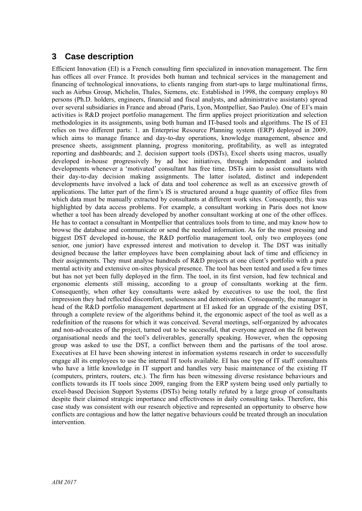## **3 Case description**

Efficient Innovation (EI) is a French consulting firm specialized in innovation management. The firm has offices all over France. It provides both human and technical services in the management and financing of technological innovations, to clients ranging from start-ups to large multinational firms, such as Airbus Group, Michelin, Thales, Siemens, etc. Established in 1998, the company employs 80 persons (Ph.D. holders, engineers, financial and fiscal analysts, and administrative assistants) spread over several subsidiaries in France and abroad (Paris, Lyon, Montpellier, Sao Paulo). One of EI's main activities is R&D project portfolio management. The firm applies project prioritization and selection methodologies in its assignments, using both human and IT-based tools and algorithms. The IS of EI relies on two different parts: 1. an Enterprise Resource Planning system (ERP) deployed in 2009, which aims to manage finance and day-to-day operations, knowledge management, absence and presence sheets, assignment planning, progress monitoring, profitability, as well as integrated reporting and dashboards; and 2. decision support tools (DSTs), Excel sheets using macros, usually developed in-house progressively by ad hoc initiatives, through independent and isolated developments whenever a 'motivated' consultant has free time. DSTs aim to assist consultants with their day-to-day decision making assignments. The latter isolated, distinct and independent developments have involved a lack of data and tool coherence as well as an excessive growth of applications. The latter part of the firm's IS is structured around a huge quantity of office files from which data must be manually extracted by consultants at different work sites. Consequently, this was highlighted by data access problems. For example, a consultant working in Paris does not know whether a tool has been already developed by another consultant working at one of the other offices. He has to contact a consultant in Montpellier that centralizes tools from to time, and may know how to browse the database and communicate or send the needed information. As for the most pressing and biggest DST developed in-house, the R&D portfolio management tool, only two employees (one senior, one junior) have expressed interest and motivation to develop it. The DST was initially designed because the latter employees have been complaining about lack of time and efficiency in their assignments. They must analyse hundreds of R&D projects at one client's portfolio with a pure mental activity and extensive on-sites physical presence. The tool has been tested and used a few times but has not yet been fully deployed in the firm. The tool, in its first version, had few technical and ergonomic elements still missing, according to a group of consultants working at the firm. Consequently, when other key consultants were asked by executives to use the tool, the first impression they had reflected discomfort, uselessness and demotivation. Consequently, the manager in head of the R&D portfolio management department at EI asked for an upgrade of the existing DST, through a complete review of the algorithms behind it, the ergonomic aspect of the tool as well as a redefinition of the reasons for which it was conceived. Several meetings, self-organized by advocates and non-advocates of the project, turned out to be successful, that everyone agreed on the fit between organisational needs and the tool's deliverables, generally speaking. However, when the opposing group was asked to use the DST, a conflict between them and the partisans of the tool arose. Executives at EI have been showing interest in information systems research in order to successfully engage all its employees to use the internal IT tools available. EI has one type of IT staff: consultants who have a little knowledge in IT support and handles very basic maintenance of the existing IT (computers, printers, routers, etc.). The firm has been witnessing diverse resistance behaviours and conflicts towards its IT tools since 2009, ranging from the ERP system being used only partially to excel-based Decision Support Systems (DSTs) being totally refuted by a large group of consultants despite their claimed strategic importance and effectiveness in daily consulting tasks. Therefore, this case study was consistent with our research objective and represented an opportunity to observe how conflicts are contagious and how the latter negative behaviours could be treated through an inoculation intervention.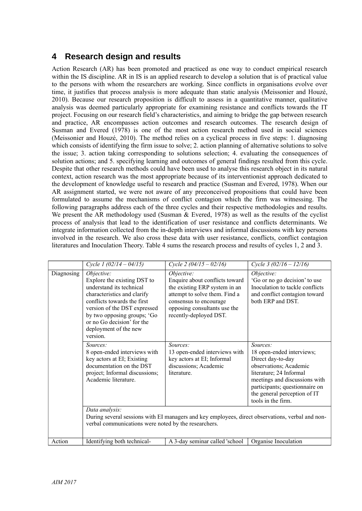## **4 Research design and results**

Action Research (AR) has been promoted and practiced as one way to conduct empirical research within the IS discipline. AR in IS is an applied research to develop a solution that is of practical value to the persons with whom the researchers are working. Since conflicts in organisations evolve over time, it justifies that process analysis is more adequate than static analysis (Meissonier and Houzé, 2010). Because our research proposition is difficult to assess in a quantitative manner, qualitative analysis was deemed particularly appropriate for examining resistance and conflicts towards the IT project. Focusing on our research field's characteristics, and aiming to bridge the gap between research and practice, AR encompasses action outcomes and research outcomes. The research design of Susman and Evered (1978) is one of the most action research method used in social sciences (Meissonier and Houzé, 2010). The method relies on a cyclical process in five steps: 1. diagnosing which consists of identifying the firm issue to solve; 2. action planning of alternative solutions to solve the issue; 3. action taking corresponding to solutions selection; 4. evaluating the consequences of solution actions; and 5. specifying learning and outcomes of general findings resulted from this cycle. Despite that other research methods could have been used to analyse this research object in its natural context, action research was the most appropriate because of its interventionist approach dedicated to the development of knowledge useful to research and practice (Susman and Evered, 1978). When our AR assignment started, we were not aware of any preconceived propositions that could have been formulated to assume the mechanisms of conflict contagion which the firm was witnessing. The following paragraphs address each of the three cycles and their respective methodologies and results. We present the AR methodology used (Susman & Evered, 1978) as well as the results of the cyclist process of analysis that lead to the identification of user resistance and conflicts determinants. We integrate information collected from the in-depth interviews and informal discussions with key persons involved in the research. We also cross these data with user resistance, conflicts, conflict contagion literatures and Inoculation Theory. Table 4 sums the research process and results of cycles 1, 2 and 3.

|            | Cycle 1 $(02/14 - 04/15)$                                                                                                                                                                                                                                             | Cycle 2 $(04/15 - 02/16)$                                                                                                                                                                          | Cycle 3 $(02/16 - 12/16)$                                                                                                                                                                                                                |
|------------|-----------------------------------------------------------------------------------------------------------------------------------------------------------------------------------------------------------------------------------------------------------------------|----------------------------------------------------------------------------------------------------------------------------------------------------------------------------------------------------|------------------------------------------------------------------------------------------------------------------------------------------------------------------------------------------------------------------------------------------|
| Diagnosing | Objective:<br>Explore the existing DST to<br>understand its technical<br>characteristics and clarify<br>conflicts towards the first<br>version of the DST expressed<br>by two opposing groups; 'Go<br>or no Go decision' for the<br>deployment of the new<br>version. | Objective:<br>Enquire about conflicts toward<br>the existing ERP system in an<br>attempt to solve them. Find a<br>consensus to encourage<br>opposing consultants use the<br>recently-deployed DST. | Objective:<br>'Go or no go decision' to use<br>Inoculation to tackle conflicts<br>and conflict contagion toward<br>both ERP and DST.                                                                                                     |
|            | Sources:<br>8 open-ended interviews with<br>key actors at EI; Existing<br>documentation on the DST<br>project; Informal discussions;<br>Academic literature.                                                                                                          | Sources:<br>13 open-ended interviews with<br>key actors at EI; Informal<br>discussions; Academic<br>literature.                                                                                    | Sources:<br>18 open-ended interviews;<br>Direct day-to-day<br>observations; Academic<br>literature; 24 Informal<br>meetings and discussions with<br>participants; questionnaire on<br>the general perception of IT<br>tools in the firm. |
|            | Data analysis:<br>During several sessions with EI managers and key employees, direct observations, verbal and non-<br>verbal communications were noted by the researchers.                                                                                            |                                                                                                                                                                                                    |                                                                                                                                                                                                                                          |
| Action     | Identifying both technical-                                                                                                                                                                                                                                           | A 3-day seminar called 'school                                                                                                                                                                     | Organise Inoculation                                                                                                                                                                                                                     |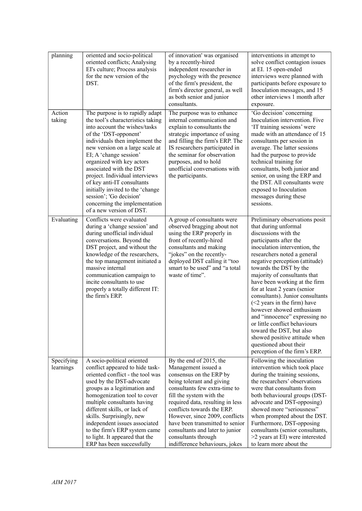| planning                | oriented and socio-political<br>oriented conflicts; Analysing<br>EI's culture; Process analysis<br>for the new version of the<br>DST.                                                                                                                                                                                                                                                                                                                                             | of innovation' was organised<br>by a recently-hired<br>independent researcher in<br>psychology with the presence<br>of the firm's president, the<br>firm's director general, as well<br>as both senior and junior<br>consultants.                                                                                                                                                                      | interventions in attempt to<br>solve conflict contagion issues<br>at EI. 15 open-ended<br>interviews were planned with<br>participants before exposure to<br>Inoculation messages, and 15<br>other interviews 1 month after<br>exposure.                                                                                                                                                                                                                                                                                                                                                                                           |
|-------------------------|-----------------------------------------------------------------------------------------------------------------------------------------------------------------------------------------------------------------------------------------------------------------------------------------------------------------------------------------------------------------------------------------------------------------------------------------------------------------------------------|--------------------------------------------------------------------------------------------------------------------------------------------------------------------------------------------------------------------------------------------------------------------------------------------------------------------------------------------------------------------------------------------------------|------------------------------------------------------------------------------------------------------------------------------------------------------------------------------------------------------------------------------------------------------------------------------------------------------------------------------------------------------------------------------------------------------------------------------------------------------------------------------------------------------------------------------------------------------------------------------------------------------------------------------------|
| Action<br>taking        | The purpose is to rapidly adapt<br>the tool's characteristics taking<br>into account the wishes/tasks<br>of the 'DST-opponent'<br>individuals then implement the<br>new version on a large scale at<br>EI; A 'change session'<br>organized with key actors<br>associated with the DST<br>project. Individual interviews<br>of key anti-IT consultants<br>initially invited to the 'change<br>session'; 'Go decision'<br>concerning the implementation<br>of a new version of DST. | The purpose was to enhance<br>internal communication and<br>explain to consultants the<br>strategic importance of using<br>and filling the firm's ERP. The<br>IS researchers participated in<br>the seminar for observation<br>purposes, and to hold<br>unofficial conversations with<br>the participants.                                                                                             | 'Go decision' concerning<br>Inoculation intervention. Five<br>'IT training sessions' were<br>made with an attendance of 15<br>consultants per session in<br>average. The latter sessions<br>had the purpose to provide<br>technical training for<br>consultants, both junior and<br>senior, on using the ERP and<br>the DST. All consultants were<br>exposed to Inoculation<br>messages during these<br>sessions.                                                                                                                                                                                                                  |
| Evaluating              | Conflicts were evaluated<br>during a 'change session' and<br>during unofficial individual<br>conversations. Beyond the<br>DST project, and without the<br>knowledge of the researchers,<br>the top management initiated a<br>massive internal<br>communication campaign to<br>incite consultants to use<br>properly a totally different IT:<br>the firm's ERP.                                                                                                                    | A group of consultants were<br>observed bragging about not<br>using the ERP properly in<br>front of recently-hired<br>consultants and making<br>"jokes" on the recently-<br>deployed DST calling it "too<br>smart to be used" and "a total<br>waste of time".                                                                                                                                          | Preliminary observations posit<br>that during unformal<br>discussions with the<br>participants after the<br>inoculation intervention, the<br>researchers noted a general<br>negative perception (attitude)<br>towards the DST by the<br>majority of consultants that<br>have been working at the firm<br>for at least 2 years (senior<br>consultants). Junior consultants<br>$(<$ 2 years in the firm) have<br>however showed enthusiasm<br>and "innocence" expressing no<br>or little conflict behaviours<br>toward the DST, but also<br>showed positive attitude when<br>questioned about their<br>perception of the firm's ERP. |
| Specifying<br>learnings | A socio-political oriented<br>conflict appeared to hide task-<br>oriented conflict - the tool was<br>used by the DST-advocate<br>groups as a legitimation and<br>homogenization tool to cover<br>multiple consultants having<br>different skills, or lack of<br>skills. Surprisingly, new<br>independent issues associated<br>to the firm's ERP system came<br>to light. It appeared that the<br>ERP has been successfully                                                        | By the end of 2015, the<br>Management issued a<br>consensus on the ERP by<br>being tolerant and giving<br>consultants few extra-time to<br>fill the system with the<br>required data, resulting in less<br>conflicts towards the ERP.<br>However, since 2009, conflicts<br>have been transmitted to senior<br>consultants and later to junior<br>consultants through<br>indifference behaviours, jokes | Following the inoculation<br>intervention which took place<br>during the training sessions,<br>the researchers' observations<br>were that consultants from<br>both behavioural groups (DST-<br>advocate and DST-opposing)<br>showed more "seriousness"<br>when prompted about the DST.<br>Furthermore, DST-opposing<br>consultants (senior consultants,<br>$>2$ years at EI) were interested<br>to learn more about the                                                                                                                                                                                                            |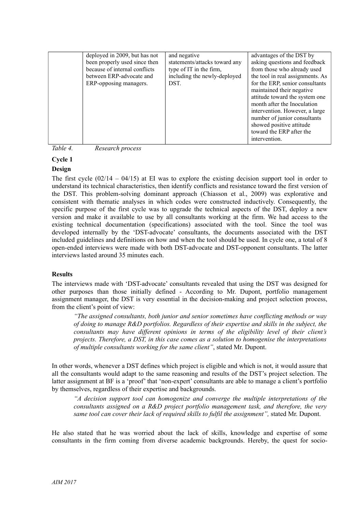| deployed in 2009, but has not<br>been properly used since then<br>because of internal conflicts<br>between ERP-advocate and<br>ERP-opposing managers. | and negative<br>statements/attacks toward any<br>type of IT in the firm,<br>including the newly-deployed<br>DST. | advantages of the DST by<br>asking questions and feedback<br>from those who already used<br>the tool in real assignments. As<br>for the ERP, senior consultants                          |
|-------------------------------------------------------------------------------------------------------------------------------------------------------|------------------------------------------------------------------------------------------------------------------|------------------------------------------------------------------------------------------------------------------------------------------------------------------------------------------|
|                                                                                                                                                       |                                                                                                                  | maintained their negative<br>attitude toward the system one<br>month after the Inoculation<br>intervention. However, a large<br>number of junior consultants<br>showed positive attitude |
|                                                                                                                                                       |                                                                                                                  | toward the ERP after the<br>intervention.                                                                                                                                                |

*Table 4. Research process*

### **Cycle 1**

#### **Design**

The first cycle  $(02/14 - 04/15)$  at EI was to explore the existing decision support tool in order to understand its technical characteristics, then identify conflicts and resistance toward the first version of the DST. This problem-solving dominant approach (Chiasson et al., 2009) was explorative and consistent with thematic analyses in which codes were constructed inductively. Consequently, the specific purpose of the first cycle was to upgrade the technical aspects of the DST, deploy a new version and make it available to use by all consultants working at the firm. We had access to the existing technical documentation (specifications) associated with the tool. Since the tool was developed internally by the 'DST-advocate' consultants, the documents associated with the DST included guidelines and definitions on how and when the tool should be used. In cycle one, a total of 8 open-ended interviews were made with both DST-advocate and DST-opponent consultants. The latter interviews lasted around 35 minutes each.

### **Results**

The interviews made with 'DST-advocate' consultants revealed that using the DST was designed for other purposes than those initially defined - According to Mr. Dupont, portfolio management assignment manager, the DST is very essential in the decision-making and project selection process, from the client's point of view:

*"The assigned consultants, both junior and senior sometimes have conflicting methods or way of doing to manage R&D portfolios. Regardless of their expertise and skills in the subject, the consultants may have different opinions in terms of the eligibility level of their client's projects. Therefore, a DST, in this case comes as a solution to homogenise the interpretations of multiple consultants working for the same client"*, stated Mr. Dupont.

In other words, whenever a DST defines which project is eligible and which is not, it would assure that all the consultants would adapt to the same reasoning and results of the DST's project selection. The latter assignment at BF is a 'proof' that 'non-expert' consultants are able to manage a client's portfolio by themselves, regardless of their expertise and backgrounds.

*"A decision support tool can homogenize and converge the multiple interpretations of the consultants assigned on a R&D project portfolio management task, and therefore, the very same tool can cover their lack of required skills to fulfil the assignment",* stated Mr. Dupont.

He also stated that he was worried about the lack of skills, knowledge and expertise of some consultants in the firm coming from diverse academic backgrounds. Hereby, the quest for socio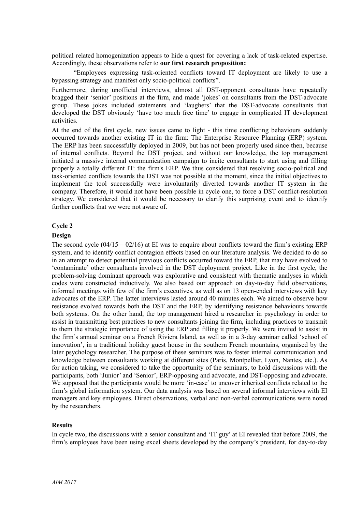political related homogenization appears to hide a quest for covering a lack of task-related expertise. Accordingly, these observations refer to **our first research proposition:**

"Employees expressing task-oriented conflicts toward IT deployment are likely to use a bypassing strategy and manifest only socio-political conflicts".

Furthermore, during unofficial interviews, almost all DST-opponent consultants have repeatedly bragged their 'senior' positions at the firm, and made 'jokes' on consultants from the DST-advocate group. These jokes included statements and 'laughers' that the DST-advocate consultants that developed the DST obviously 'have too much free time' to engage in complicated IT development activities.

At the end of the first cycle, new issues came to light - this time conflicting behaviours suddenly occurred towards another existing IT in the firm: The Enterprise Resource Planning (ERP) system. The ERP has been successfully deployed in 2009, but has not been properly used since then, because of internal conflicts. Beyond the DST project, and without our knowledge, the top management initiated a massive internal communication campaign to incite consultants to start using and filling properly a totally different IT: the firm's ERP. We thus considered that resolving socio-political and task-oriented conflicts towards the DST was not possible at the moment, since the initial objectives to implement the tool successfully were involuntarily diverted towards another IT system in the company. Therefore, it would not have been possible in cycle one, to force a DST conflict-resolution strategy. We considered that it would be necessary to clarify this surprising event and to identify further conflicts that we were not aware of.

#### **Cycle 2**

#### **Design**

The second cycle  $(04/15 - 02/16)$  at EI was to enquire about conflicts toward the firm's existing ERP system, and to identify conflict contagion effects based on our literature analysis. We decided to do so in an attempt to detect potential previous conflicts occurred toward the ERP, that may have evolved to 'contaminate' other consultants involved in the DST deployment project. Like in the first cycle, the problem-solving dominant approach was explorative and consistent with thematic analyses in which codes were constructed inductively. We also based our approach on day-to-day field observations, informal meetings with few of the firm's executives, as well as on 13 open-ended interviews with key advocates of the ERP. The latter interviews lasted around 40 minutes each. We aimed to observe how resistance evolved towards both the DST and the ERP, by identifying resistance behaviours towards both systems. On the other hand, the top management hired a researcher in psychology in order to assist in transmitting best practices to new consultants joining the firm, including practices to transmit to them the strategic importance of using the ERP and filling it properly. We were invited to assist in the firm's annual seminar on a French Riviera Island, as well as in a 3-day seminar called 'school of innovation', in a traditional holiday guest house in the southern French mountains, organised by the later psychology researcher. The purpose of these seminars was to foster internal communication and knowledge between consultants working at different sites (Paris, Montpellier, Lyon, Nantes, etc.). As for action taking, we considered to take the opportunity of the seminars, to hold discussions with the participants, both 'Junior' and 'Senior', ERP-opposing and advocate, and DST-opposing and advocate. We supposed that the participants would be more 'in-ease' to uncover inherited conflicts related to the firm's global information system. Our data analysis was based on several informal interviews with EI managers and key employees. Direct observations, verbal and non-verbal communications were noted by the researchers.

#### **Results**

In cycle two, the discussions with a senior consultant and 'IT guy' at EI revealed that before 2009, the firm's employees have been using excel sheets developed by the company's president, for day-to-day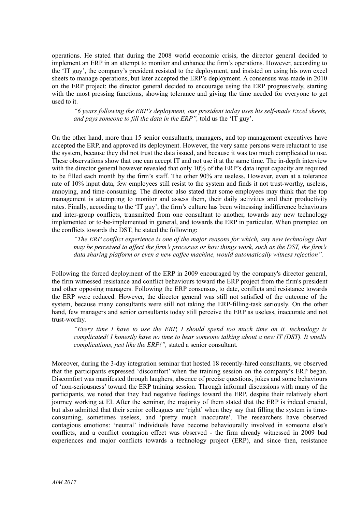operations. He stated that during the 2008 world economic crisis, the director general decided to implement an ERP in an attempt to monitor and enhance the firm's operations. However, according to the 'IT guy', the company's president resisted to the deployment, and insisted on using his own excel sheets to manage operations, but later accepted the ERP's deployment. A consensus was made in 2010 on the ERP project: the director general decided to encourage using the ERP progressively, starting with the most pressing functions, showing tolerance and giving the time needed for everyone to get used to it.

*"6 years following the ERP's deployment, our president today uses his self-made Excel sheets, and pays someone to fill the data in the ERP",* told us the 'IT guy'.

On the other hand, more than 15 senior consultants, managers, and top management executives have accepted the ERP, and approved its deployment. However, the very same persons were reluctant to use the system, because they did not trust the data issued, and because it was too much complicated to use. These observations show that one can accept IT and not use it at the same time. The in-depth interview with the director general however revealed that only 10% of the ERP's data input capacity are required to be filled each month by the firm's staff. The other 90% are useless. However, even at a tolerance rate of 10% input data, few employees still resist to the system and finds it not trust-worthy, useless, annoying, and time-consuming. The director also stated that some employees may think that the top management is attempting to monitor and assess them, their daily activities and their productivity rates. Finally, according to the 'IT guy', the firm's culture has been witnessing indifference behaviours and inter-group conflicts, transmitted from one consultant to another, towards any new technology implemented or to-be-implemented in general, and towards the ERP in particular. When prompted on the conflicts towards the DST, he stated the following:

*"The ERP conflict experience is one of the major reasons for which, any new technology that may be perceived to affect the firm's processes or how things work, such as the DST, the firm's data sharing platform or even a new coffee machine, would automatically witness rejection".*

Following the forced deployment of the ERP in 2009 encouraged by the company's director general, the firm witnessed resistance and conflict behaviours toward the ERP project from the firm's president and other opposing managers. Following the ERP consensus, to date, conflicts and resistance towards the ERP were reduced. However, the director general was still not satisfied of the outcome of the system, because many consultants were still not taking the ERP-filling-task seriously. On the other hand, few managers and senior consultants today still perceive the ERP as useless, inaccurate and not trust-worthy.

*"Every time I have to use the ERP, I should spend too much time on it. technology is complicated! I honestly have no time to hear someone talking about a new IT (DST). It smells complications, just like the ERP!",* stated a senior consultant.

Moreover, during the 3-day integration seminar that hosted 18 recently-hired consultants, we observed that the participants expressed 'discomfort' when the training session on the company's ERP began. Discomfort was manifested through laughers, absence of precise questions, jokes and some behaviours of 'non-seriousness' toward the ERP training session. Through informal discussions with many of the participants, we noted that they had negative feelings toward the ERP, despite their relatively short journey working at EI. After the seminar, the majority of them stated that the ERP is indeed crucial, but also admitted that their senior colleagues are 'right' when they say that filling the system is timeconsuming, sometimes useless, and 'pretty much inaccurate'. The researchers have observed contagious emotions: 'neutral' individuals have become behaviourally involved in someone else's conflicts, and a conflict contagion effect was observed - the firm already witnessed in 2009 bad experiences and major conflicts towards a technology project (ERP), and since then, resistance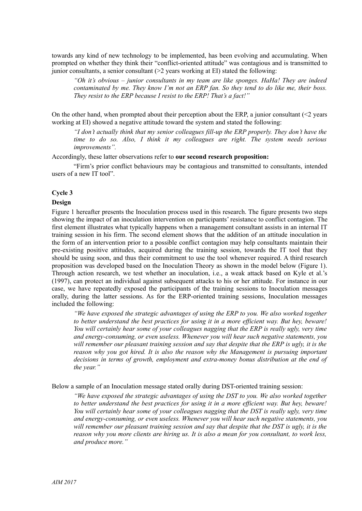towards any kind of new technology to be implemented, has been evolving and accumulating. When prompted on whether they think their "conflict-oriented attitude" was contagious and is transmitted to  $\frac{1}{2}$  iunior consultants, a senior consultant ( $>2$  years working at EI) stated the following:

*"Oh it's obvious – junior consultants in my team are like sponges. HaHa! They are indeed contaminated by me. They know I'm not an ERP fan. So they tend to do like me, their boss. They resist to the ERP because I resist to the ERP! That's a fact!"*

On the other hand, when prompted about their perception about the ERP, a junior consultant  $(\leq 2)$  years working at EI) showed a negative attitude toward the system and stated the following:

*"I don't actually think that my senior colleagues fill-up the ERP properly. They don't have the time to do so. Also, I think it my colleagues are right. The system needs serious improvements".*

Accordingly, these latter observations refer to **our second research proposition:**

"Firm's prior conflict behaviours may be contagious and transmitted to consultants, intended users of a new IT tool".

#### **Cycle 3**

#### **Design**

Figure 1 hereafter presents the Inoculation process used in this research. The figure presents two steps showing the impact of an inoculation intervention on participants' resistance to conflict contagion. The first element illustrates what typically happens when a management consultant assists in an internal IT training session in his firm. The second element shows that the addition of an attitude inoculation in the form of an intervention prior to a possible conflict contagion may help consultants maintain their pre-existing positive attitudes, acquired during the training session, towards the IT tool that they should be using soon, and thus their commitment to use the tool whenever required. A third research proposition was developed based on the Inoculation Theory as shown in the model below (Figure 1). Through action research, we test whether an inoculation, i.e., a weak attack based on Kyle et al.'s (1997), can protect an individual against subsequent attacks to his or her attitude. For instance in our case, we have repeatedly exposed the participants of the training sessions to Inoculation messages orally, during the latter sessions. As for the ERP-oriented training sessions, Inoculation messages included the following:

*"We have exposed the strategic advantages of using the ERP to you. We also worked together to better understand the best practices for using it in a more efficient way. But hey, beware! You will certainly hear some of your colleagues nagging that the ERP is really ugly, very time and energy-consuming, or even useless. Whenever you will hear such negative statements, you will remember our pleasant training session and say that despite that the ERP is ugly, it is the reason why you got hired. It is also the reason why the Management is pursuing important decisions in terms of growth, employment and extra-money bonus distribution at the end of the year."*

Below a sample of an Inoculation message stated orally during DST-oriented training session:

*"We have exposed the strategic advantages of using the DST to you. We also worked together to better understand the best practices for using it in a more efficient way. But hey, beware! You will certainly hear some of your colleagues nagging that the DST is really ugly, very time and energy-consuming, or even useless. Whenever you will hear such negative statements, you will remember our pleasant training session and say that despite that the DST is ugly, it is the* reason why you more clients are hiring us. It is also a mean for you consultant, to work less, *and produce more."*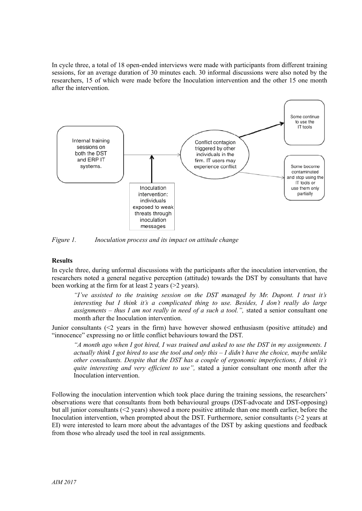In cycle three, a total of 18 open-ended interviews were made with participants from different training sessions, for an average duration of 30 minutes each. 30 informal discussions were also noted by the researchers, 15 of which were made before the Inoculation intervention and the other 15 one month after the intervention.



*Figure 1. Inoculation process and its impact on attitude change*

#### **Results**

In cycle three, during unformal discussions with the participants after the inoculation intervention, the researchers noted a general negative perception (attitude) towards the DST by consultants that have been working at the firm for at least 2 years (>2 years).

*"I've assisted to the training session on the DST managed by Mr. Dupont. I trust it's interesting but I think it's a complicated thing to use. Besides, I don't really do large assignments – thus I am not really in need of a such a tool.",* stated a senior consultant one month after the Inoculation intervention.

Junior consultants (<2 years in the firm) have however showed enthusiasm (positive attitude) and "innocence" expressing no or little conflict behaviours toward the DST.

"A month ago when I got hired, I was trained and asked to use the DST in my assignments. I actually think I got hired to use the tool and only this  $-I$  didn't have the choice, maybe unlike *other consultants. Despite that the DST has a couple of ergonomic imperfections, I think it's quite interesting and very efficient to use",* stated a junior consultant one month after the Inoculation intervention.

Following the inoculation intervention which took place during the training sessions, the researchers' observations were that consultants from both behavioural groups (DST-advocate and DST-opposing) but all junior consultants (<2 years) showed a more positive attitude than one month earlier, before the Inoculation intervention, when prompted about the DST. Furthermore, senior consultants (>2 years at EI) were interested to learn more about the advantages of the DST by asking questions and feedback from those who already used the tool in real assignments.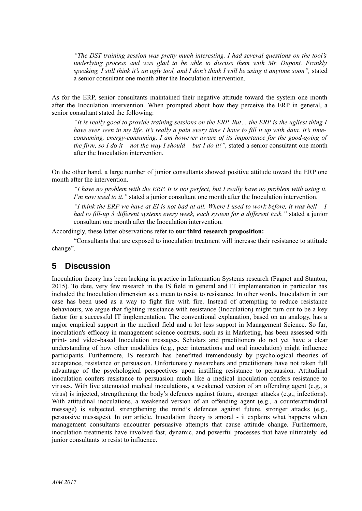*"The DST training session was pretty much interesting. I had several questions on the tool's underlying process and was glad to be able to discuss them with Mr. Dupont. Frankly* speaking. I still think it's an ugly tool, and I don't think I will be using it anytime soon", stated a senior consultant one month after the Inoculation intervention.

As for the ERP, senior consultants maintained their negative attitude toward the system one month after the Inoculation intervention. When prompted about how they perceive the ERP in general, a senior consultant stated the following:

"It is really good to provide training sessions on the ERP. But... the ERP is the ugliest thing  $I$ have ever seen in my life. It's really a pain every time I have to fill it up with data. It's time*consuming, energy-consuming. I am however aware of its importance for the good-going of the firm, so I do it – not the way I should – but I do it!",* stated a senior consultant one month after the Inoculation intervention.

On the other hand, a large number of junior consultants showed positive attitude toward the ERP one month after the intervention.

"I have no problem with the ERP. It is not perfect, but I really have no problem with using it. *I'm now used to it."* stated a junior consultant one month after the Inoculation intervention.

"I think the ERP we have at EI is not bad at all. Where I used to work before, it was hell  $-I$ *had to fill-up 3 different systems every week, each system for a different task."* stated a junior consultant one month after the Inoculation intervention.

Accordingly, these latter observations refer to **our third research proposition:**

"Consultants that are exposed to inoculation treatment will increase their resistance to attitude change".

## **5 Discussion**

Inoculation theory has been lacking in practice in Information Systems research (Fagnot and Stanton, 2015). To date, very few research in the IS field in general and IT implementation in particular has included the Inoculation dimension as a mean to resist to resistance. In other words, Inoculation in our case has been used as a way to fight fire with fire. Instead of attempting to reduce resistance behaviours, we argue that fighting resistance with resistance (Inoculation) might turn out to be a key factor for a successful IT implementation. The conventional explanation, based on an analogy, has a major empirical support in the medical field and a lot less support in Management Science. So far, inoculation's efficacy in management science contexts, such as in Marketing, has been assessed with print- and video-based Inoculation messages. Scholars and practitioners do not yet have a clear understanding of how other modalities (e.g., peer interactions and oral inoculation) might influence participants. Furthermore, IS research has benefitted tremendously by psychological theories of acceptance, resistance or persuasion. Unfortunately researchers and practitioners have not taken full advantage of the psychological perspectives upon instilling resistance to persuasion. Attitudinal inoculation confers resistance to persuasion much like a medical inoculation confers resistance to viruses. With live attenuated medical inoculations, a weakened version of an offending agent (e.g., a virus) is injected, strengthening the body's defences against future, stronger attacks (e.g., infections). With attitudinal inoculations, a weakened version of an offending agent (e.g., a counterattitudinal message) is subjected, strengthening the mind's defences against future, stronger attacks (e.g., persuasive messages). In our article, Inoculation theory is amoral - it explains what happens when management consultants encounter persuasive attempts that cause attitude change. Furthermore, inoculation treatments have involved fast, dynamic, and powerful processes that have ultimately led junior consultants to resist to influence.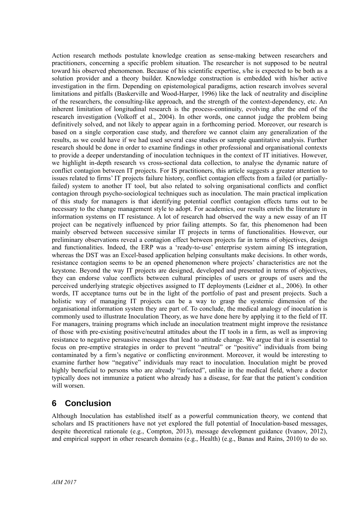Action research methods postulate knowledge creation as sense-making between researchers and practitioners, concerning a specific problem situation. The researcher is not supposed to be neutral toward his observed phenomenon. Because of his scientific expertise, s/he is expected to be both as a solution provider and a theory builder. Knowledge construction is embedded with his/her active investigation in the firm. Depending on epistemological paradigms, action research involves several limitations and pitfalls (Baskerville and Wood-Harper, 1996) like the lack of neutrality and discipline of the researchers, the consulting-like approach, and the strength of the context-dependency, etc. An inherent limitation of longitudinal research is the process-continuity, evolving after the end of the research investigation (Volkoff et al., 2004). In other words, one cannot judge the problem being definitively solved, and not likely to appear again in a forthcoming period. Moreover, our research is based on a single corporation case study, and therefore we cannot claim any generalization of the results, as we could have if we had used several case studies or sample quantitative analysis. Further research should be done in order to examine findings in other professional and organisational contexts to provide a deeper understanding of inoculation techniques in the context of IT initiatives. However, we highlight in-depth research vs cross-sectional data collection, to analyse the dynamic nature of conflict contagion between IT projects. For IS practitioners, this article suggests a greater attention to issues related to firms' IT projects failure history, conflict contagion effects from a failed (or partiallyfailed) system to another IT tool, but also related to solving organisational conflicts and conflict contagion through psycho-sociological techniques such as inoculation. The main practical implication of this study for managers is that identifying potential conflict contagion effects turns out to be necessary to the change management style to adopt. For academics, our results enrich the literature in information systems on IT resistance. A lot of research had observed the way a new essay of an IT project can be negatively influenced by prior failing attempts. So far, this phenomenon had been mainly observed between successive similar IT projects in terms of functionalities. However, our preliminary observations reveal a contagion effect between projects far in terms of objectives, design and functionalities. Indeed, the ERP was a 'ready-to-use' enterprise system aiming IS integration, whereas the DST was an Excel-based application helping consultants make decisions. In other words, resistance contagion seems to be an opened phenomenon where projects' characteristics are not the keystone. Beyond the way IT projects are designed, developed and presented in terms of objectives, they can endorse value conflicts between cultural principles of users or groups of users and the perceived underlying strategic objectives assigned to IT deployments (Leidner et al., 2006). In other words, IT acceptance turns out be in the light of the portfolio of past and present projects. Such a holistic way of managing IT projects can be a way to grasp the systemic dimension of the organisational information system they are part of. To conclude, the medical analogy of inoculation is commonly used to illustrate Inoculation Theory, as we have done here by applying it to the field of IT. For managers, training programs which include an inoculation treatment might improve the resistance of those with pre-existing positive/neutral attitudes about the IT tools in a firm, as well as improving resistance to negative persuasive messages that lead to attitude change. We argue that it is essential to focus on pre-emptive strategies in order to prevent "neutral" or "positive" individuals from being contaminated by a firm's negative or conflicting environment. Moreover, it would be interesting to examine further how "negative" individuals may react to inoculation. Inoculation might be proved highly beneficial to persons who are already "infected", unlike in the medical field, where a doctor typically does not immunize a patient who already has a disease, for fear that the patient's condition will worsen.

# **6 Conclusion**

Although Inoculation has established itself as a powerful communication theory, we contend that scholars and IS practitioners have not yet explored the full potential of Inoculation-based messages, despite theoretical rationale (e.g., Compton, 2013), message development guidance (Ivanov, 2012), and empirical support in other research domains (e.g., Health) (e.g., Banas and Rains, 2010) to do so.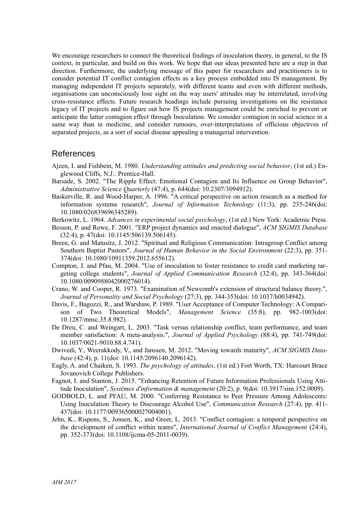We encourage researchers to connect the theoretical findings of inoculation theory, in general, to the IS context, in particular, and build on this work. We hope that our ideas presented here are a step in that direction. Furthermore, the underlying message of this paper for researchers and practitioners is to consider potential IT conflict contagion effects as a key process embedded into IS management. By managing independent IT projects separately, with different teams and even with different methods, organisations can unconsciously lose sight on the way users' attitudes may be interrelated, involving cross-resistance effects. Future research headings include pursuing investigations on the resistance legacy of IT projects and to figure out how IS projects management could be enriched to prevent or anticipate the latter contagion effect through Inoculation. We consider contagion in social science in a same way than in medicine, and consider rumours, over-interpretations of officious objectives of separated projects, as a sort of social disease appealing a managerial intervention.

#### References

- Ajzen, I. and Fishbein, M. 1980. *Understanding attitudes and predicting social behavior*, (1st ed.) Englewood Cliffs, N.J.: Prentice-Hall.
- Barsade, S. 2002. "The Ripple Effect: Emotional Contagion and Its Influence on Group Behavior", *Administrative Science Quarterly* (47:4), p. 644(doi: 10.2307/3094912).
- Baskerville, R. and Wood-Harper, A. 1996. "A critical perspective on action research as a method for information systems research", *Journal of Information Technology* (11:3), pp. 235-246(doi: 10.1080/026839696345289).
- Berkowitz, L. 1964. *Advances in experimental social psychology*, (1st ed.) New York: Academic Press.
- Besson, P. and Rowe, F. 2001. "ERP project dynamics and enacted dialogue", *ACM SIGMIS Database* (32:4), p. 47(doi: 10.1145/506139.506145).
- Breen, G. and Matusitz, J. 2012. "Spiritual and Religious Communication: Intragroup Conflict among Southern Baptist Pastors", *Journal of Human Behavior in the Social Environment* (22:3), pp. 351- 374(doi: 10.1080/10911359.2012.655612).
- Compton, J. and Pfau, M. 2004. "Use of inoculation to foster resistance to credit card marketing targeting college students", *Journal of Applied Communication Research* (32:4), pp. 343-364(doi: 10.1080/0090988042000276014).
- Crano, W. and Cooper, R. 1973. "Examination of Newcomb's extension of structural balance theory.", *Journal of Personality and Social Psychology* (27:3), pp. 344-353(doi: 10.1037/h0034942).
- Davis, F., Bagozzi, R., and Warshaw, P. 1989. "User Acceptance of Computer Technology: A Comparison of Two Theoretical Models", *Management Science* (35:8), pp. 982-1003(doi: 10.1287/mnsc.35.8.982).
- De Dreu, C. and Weingart, L. 2003. "Task versus relationship conflict, team performance, and team member satisfaction: A meta-analysis.", *Journal of Applied Psychology* (88:4), pp. 741-749(doi: 10.1037/0021-9010.88.4.741).
- Dwivedi, Y., Weerakkody, V., and Janssen, M. 2012. "Moving towards maturity", *ACM SIGMIS Database* (42:4), p. 11(doi: 10.1145/2096140.2096142).
- Eagly, A. and Chaiken, S. 1993. *The psychology of attitudes*, (1st ed.) Fort Worth, TX: Harcourt Brace Jovanovich College Publishers.
- Fagnot, I. and Stanton, J. 2015. "Enhancing Retention of Future Information Professionals Using Attitude Inoculation", *Systèmes d'information & management* (20:2), p. 9(doi: 10.3917/sim.152.0009).
- GODBOLD, L. and PFAU, M. 2000. "Conferring Resistance to Peer Pressure Among Adolescents: Using Inoculation Theory to Discourage Alcohol Use", *Communication Research* (27:4), pp. 411- 437(doi: 10.1177/009365000027004001).
- Jehn, K., Rispens, S., Jonsen, K., and Greer, L. 2013. "Conflict contagion: a temporal perspective on the development of conflict within teams", *International Journal of Conflict Management* (24:4), pp. 352-373(doi: 10.1108/ijcma-05-2011-0039).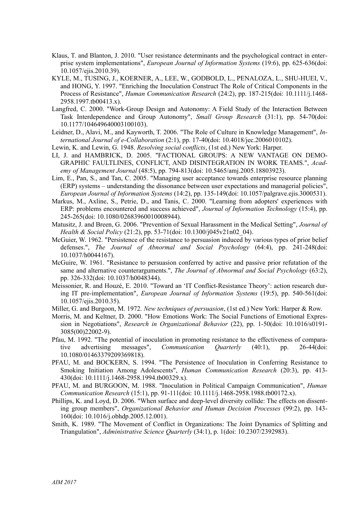- Klaus, T. and Blanton, J. 2010. "User resistance determinants and the psychological contract in enterprise system implementations", *European Journal of Information Systems* (19:6), pp. 625-636(doi: 10.1057/ejis.2010.39).
- KYLE, M., TUSING, J., KOERNER, A., LEE, W., GODBOLD, L., PENALOZA, L., SHU-HUEI, V., and HONG, Y. 1997. "Enriching the Inoculation Construct The Role of Critical Components in the Process of Resistance", *Human Communication Research* (24:2), pp. 187-215(doi: 10.1111/j.1468- 2958.1997.tb00413.x).
- Langfred, C. 2000. "Work-Group Design and Autonomy: A Field Study of the Interaction Between Task Interdependence and Group Autonomy", *Small Group Research* (31:1), pp. 54-70(doi: 10.1177/104649640003100103).
- Leidner, D., Alavi, M., and Kayworth, T. 2006. "The Role of Culture in Knowledge Management", *International Journal of e-Collaboration* (2:1), pp. 17-40(doi: 10.4018/jec.2006010102).
- Lewin, K. and Lewin, G. 1948. *Resolving social conflicts*, (1st ed.) New York: Harper.
- LI, J. and HAMBRICK, D. 2005. "FACTIONAL GROUPS: A NEW VANTAGE ON DEMO-GRAPHIC FAULTLINES, CONFLICT, AND DISINTEGRATION IN WORK TEAMS.", *Academy of Management Journal* (48:5), pp. 794-813(doi: 10.5465/amj.2005.18803923).
- Lim, E., Pan, S., and Tan, C. 2005. "Managing user acceptance towards enterprise resource planning (ERP) systems – understanding the dissonance between user expectations and managerial policies", *European Journal of Information Systems* (14:2), pp. 135-149(doi: 10.1057/palgrave.ejis.3000531).
- Markus, M., Axline, S., Petrie, D., and Tanis, C. 2000. "Learning from adopters' experiences with ERP: problems encountered and success achieved", *Journal of Information Technology* (15:4), pp. 245-265(doi: 10.1080/02683960010008944).
- Matusitz, J. and Breen, G. 2006. "Prevention of Sexual Harassment in the Medical Setting", *Journal of Health & Social Policy* (21:2), pp. 53-71(doi: 10.1300/j045v21n02\_04).
- McGuier, W. 1962. "Persistence of the resistance to persuasion induced by various types of prior belief defenses.", *The Journal of Abnormal and Social Psychology* (64:4), pp. 241-248(doi: 10.1037/h0044167).
- McGuire, W. 1961. "Resistance to persuasion conferred by active and passive prior refutation of the same and alternative counterarguments.", *The Journal of Abnormal and Social Psychology* (63:2), pp. 326-332(doi: 10.1037/h0048344).
- Meissonier, R. and Houzé, E. 2010. "Toward an 'IT Conflict-Resistance Theory': action research during IT pre-implementation", *European Journal of Information Systems* (19:5), pp. 540-561(doi: 10.1057/ejis.2010.35).
- Miller, G. and Burgoon, M. 1972. *New techniques of persuasion*, (1st ed.) New York: Harper & Row.
- Morris, M. and Keltner, D. 2000. "How Emotions Work: The Social Functions of Emotional Expression in Negotiations", *Research in Organizational Behavior* (22), pp. 1-50(doi: 10.1016/s0191- 3085(00)22002-9).
- Pfau, M. 1992. "The potential of inoculation in promoting resistance to the effectiveness of comparative advertising messages", *Communication Quarterly* (40:1), pp. 26-44(doi: 10.1080/01463379209369818).
- PFAU, M. and BOCKERN, S. 1994. "The Persistence of Inoculation in Conferring Resistance to Smoking Initiation Among Adolescents", *Human Communication Research* (20:3), pp. 413- 430(doi: 10.1111/j.1468-2958.1994.tb00329.x).
- PFAU, M. and BURGOON, M. 1988. "Inoculation in Political Campaign Communication", *Human Communication Research* (15:1), pp. 91-111(doi: 10.1111/j.1468-2958.1988.tb00172.x).
- Phillips, K. and Loyd, D. 2006. "When surface and deep-level diversity collide: The effects on dissenting group members", *Organizational Behavior and Human Decision Processes* (99:2), pp. 143- 160(doi: 10.1016/j.obhdp.2005.12.001).
- Smith, K. 1989. "The Movement of Conflict in Organizations: The Joint Dynamics of Splitting and Triangulation", *Administrative Science Quarterly* (34:1), p. 1(doi: 10.2307/2392983).